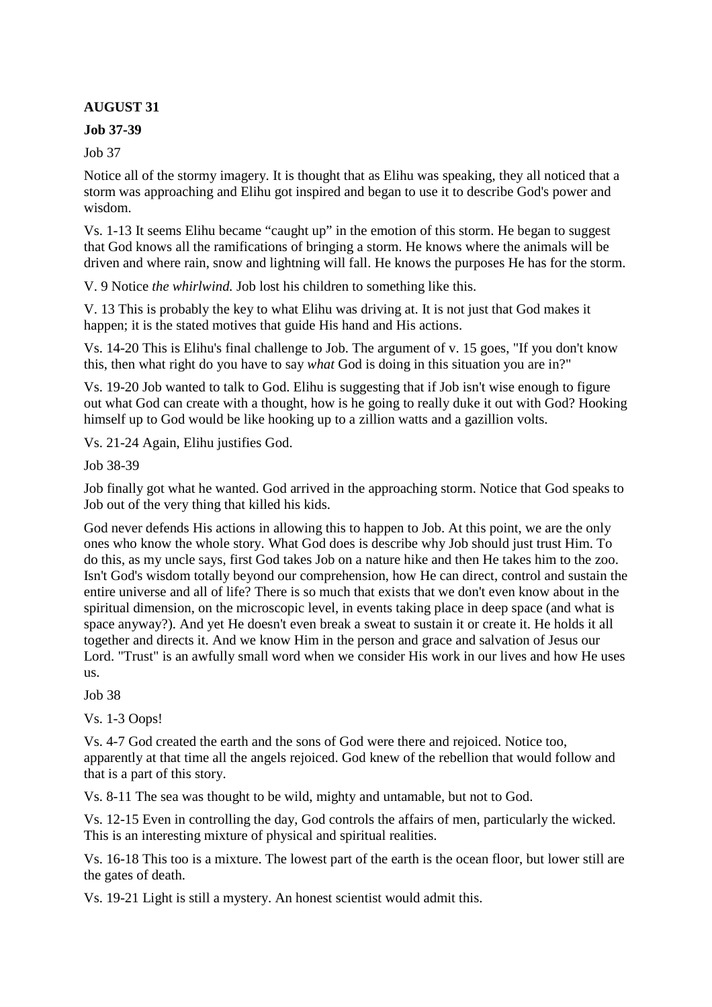# **AUGUST 31**

## **Job 37-39**

Job 37

Notice all of the stormy imagery. It is thought that as Elihu was speaking, they all noticed that a storm was approaching and Elihu got inspired and began to use it to describe God's power and wisdom.

Vs. 1-13 It seems Elihu became "caught up" in the emotion of this storm. He began to suggest that God knows all the ramifications of bringing a storm. He knows where the animals will be driven and where rain, snow and lightning will fall. He knows the purposes He has for the storm.

V. 9 Notice *the whirlwind.* Job lost his children to something like this.

V. 13 This is probably the key to what Elihu was driving at. It is not just that God makes it happen; it is the stated motives that guide His hand and His actions.

Vs. 14-20 This is Elihu's final challenge to Job. The argument of v. 15 goes, "If you don't know this, then what right do you have to say *what* God is doing in this situation you are in?"

Vs. 19-20 Job wanted to talk to God. Elihu is suggesting that if Job isn't wise enough to figure out what God can create with a thought, how is he going to really duke it out with God? Hooking himself up to God would be like hooking up to a zillion watts and a gazillion volts.

Vs. 21-24 Again, Elihu justifies God.

Job 38-39

Job finally got what he wanted. God arrived in the approaching storm. Notice that God speaks to Job out of the very thing that killed his kids.

God never defends His actions in allowing this to happen to Job. At this point, we are the only ones who know the whole story. What God does is describe why Job should just trust Him. To do this, as my uncle says, first God takes Job on a nature hike and then He takes him to the zoo. Isn't God's wisdom totally beyond our comprehension, how He can direct, control and sustain the entire universe and all of life? There is so much that exists that we don't even know about in the spiritual dimension, on the microscopic level, in events taking place in deep space (and what is space anyway?). And yet He doesn't even break a sweat to sustain it or create it. He holds it all together and directs it. And we know Him in the person and grace and salvation of Jesus our Lord. "Trust" is an awfully small word when we consider His work in our lives and how He uses us.

Job 38

Vs. 1-3 Oops!

Vs. 4-7 God created the earth and the sons of God were there and rejoiced. Notice too, apparently at that time all the angels rejoiced. God knew of the rebellion that would follow and that is a part of this story.

Vs. 8-11 The sea was thought to be wild, mighty and untamable, but not to God.

Vs. 12-15 Even in controlling the day, God controls the affairs of men, particularly the wicked. This is an interesting mixture of physical and spiritual realities.

Vs. 16-18 This too is a mixture. The lowest part of the earth is the ocean floor, but lower still are the gates of death.

Vs. 19-21 Light is still a mystery. An honest scientist would admit this.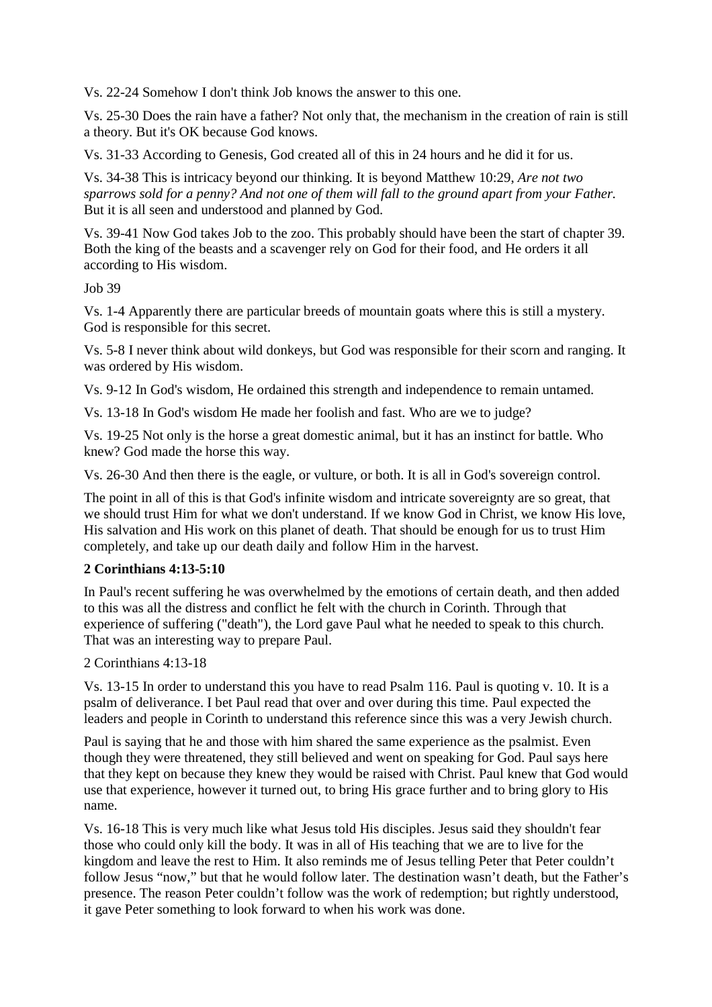Vs. 22-24 Somehow I don't think Job knows the answer to this one.

Vs. 25-30 Does the rain have a father? Not only that, the mechanism in the creation of rain is still a theory. But it's OK because God knows.

Vs. 31-33 According to Genesis, God created all of this in 24 hours and he did it for us.

Vs. 34-38 This is intricacy beyond our thinking. It is beyond Matthew 10:29, *Are not two sparrows sold for a penny? And not one of them will fall to the ground apart from your Father.* But it is all seen and understood and planned by God.

Vs. 39-41 Now God takes Job to the zoo. This probably should have been the start of chapter 39. Both the king of the beasts and a scavenger rely on God for their food, and He orders it all according to His wisdom.

Job 39

Vs. 1-4 Apparently there are particular breeds of mountain goats where this is still a mystery. God is responsible for this secret.

Vs. 5-8 I never think about wild donkeys, but God was responsible for their scorn and ranging. It was ordered by His wisdom.

Vs. 9-12 In God's wisdom, He ordained this strength and independence to remain untamed.

Vs. 13-18 In God's wisdom He made her foolish and fast. Who are we to judge?

Vs. 19-25 Not only is the horse a great domestic animal, but it has an instinct for battle. Who knew? God made the horse this way.

Vs. 26-30 And then there is the eagle, or vulture, or both. It is all in God's sovereign control.

The point in all of this is that God's infinite wisdom and intricate sovereignty are so great, that we should trust Him for what we don't understand. If we know God in Christ, we know His love, His salvation and His work on this planet of death. That should be enough for us to trust Him completely, and take up our death daily and follow Him in the harvest.

# **2 Corinthians 4:13-5:10**

In Paul's recent suffering he was overwhelmed by the emotions of certain death, and then added to this was all the distress and conflict he felt with the church in Corinth. Through that experience of suffering ("death"), the Lord gave Paul what he needed to speak to this church. That was an interesting way to prepare Paul.

2 Corinthians 4:13-18

Vs. 13-15 In order to understand this you have to read Psalm 116. Paul is quoting v. 10. It is a psalm of deliverance. I bet Paul read that over and over during this time. Paul expected the leaders and people in Corinth to understand this reference since this was a very Jewish church.

Paul is saying that he and those with him shared the same experience as the psalmist. Even though they were threatened, they still believed and went on speaking for God. Paul says here that they kept on because they knew they would be raised with Christ. Paul knew that God would use that experience, however it turned out, to bring His grace further and to bring glory to His name.

Vs. 16-18 This is very much like what Jesus told His disciples. Jesus said they shouldn't fear those who could only kill the body. It was in all of His teaching that we are to live for the kingdom and leave the rest to Him. It also reminds me of Jesus telling Peter that Peter couldn't follow Jesus "now," but that he would follow later. The destination wasn't death, but the Father's presence. The reason Peter couldn't follow was the work of redemption; but rightly understood, it gave Peter something to look forward to when his work was done.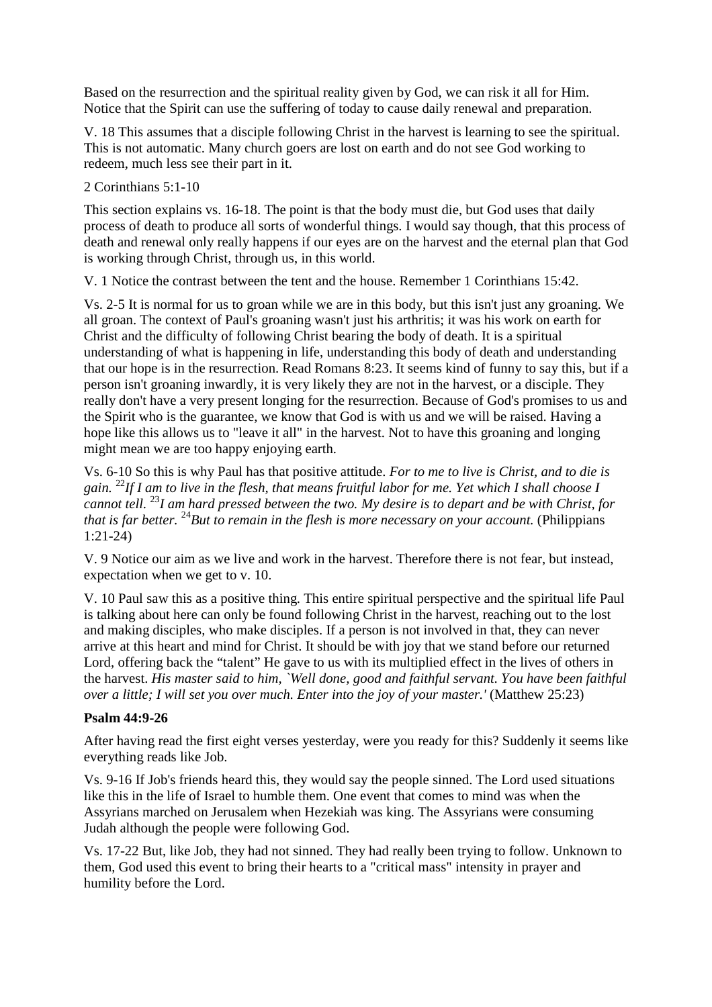Based on the resurrection and the spiritual reality given by God, we can risk it all for Him. Notice that the Spirit can use the suffering of today to cause daily renewal and preparation.

V. 18 This assumes that a disciple following Christ in the harvest is learning to see the spiritual. This is not automatic. Many church goers are lost on earth and do not see God working to redeem, much less see their part in it.

### 2 Corinthians 5:1-10

This section explains vs. 16-18. The point is that the body must die, but God uses that daily process of death to produce all sorts of wonderful things. I would say though, that this process of death and renewal only really happens if our eyes are on the harvest and the eternal plan that God is working through Christ, through us, in this world.

V. 1 Notice the contrast between the tent and the house. Remember 1 Corinthians 15:42.

Vs. 2-5 It is normal for us to groan while we are in this body, but this isn't just any groaning. We all groan. The context of Paul's groaning wasn't just his arthritis; it was his work on earth for Christ and the difficulty of following Christ bearing the body of death. It is a spiritual understanding of what is happening in life, understanding this body of death and understanding that our hope is in the resurrection. Read Romans 8:23. It seems kind of funny to say this, but if a person isn't groaning inwardly, it is very likely they are not in the harvest, or a disciple. They really don't have a very present longing for the resurrection. Because of God's promises to us and the Spirit who is the guarantee, we know that God is with us and we will be raised. Having a hope like this allows us to "leave it all" in the harvest. Not to have this groaning and longing might mean we are too happy enjoying earth.

Vs. 6-10 So this is why Paul has that positive attitude. *For to me to live is Christ, and to die is gain.* <sup>22</sup>*If I am to live in the flesh, that means fruitful labor for me. Yet which I shall choose I cannot tell.* <sup>23</sup>*I am hard pressed between the two. My desire is to depart and be with Christ, for that is far better.* <sup>24</sup>*But to remain in the flesh is more necessary on your account.* (Philippians 1:21-24)

V. 9 Notice our aim as we live and work in the harvest. Therefore there is not fear, but instead, expectation when we get to v. 10.

V. 10 Paul saw this as a positive thing. This entire spiritual perspective and the spiritual life Paul is talking about here can only be found following Christ in the harvest, reaching out to the lost and making disciples, who make disciples. If a person is not involved in that, they can never arrive at this heart and mind for Christ. It should be with joy that we stand before our returned Lord, offering back the "talent" He gave to us with its multiplied effect in the lives of others in the harvest. *His master said to him, `Well done, good and faithful servant. You have been faithful over a little; I will set you over much. Enter into the joy of your master.'* (Matthew 25:23)

#### **Psalm 44:9-26**

After having read the first eight verses yesterday, were you ready for this? Suddenly it seems like everything reads like Job.

Vs. 9-16 If Job's friends heard this, they would say the people sinned. The Lord used situations like this in the life of Israel to humble them. One event that comes to mind was when the Assyrians marched on Jerusalem when Hezekiah was king. The Assyrians were consuming Judah although the people were following God.

Vs. 17-22 But, like Job, they had not sinned. They had really been trying to follow. Unknown to them, God used this event to bring their hearts to a "critical mass" intensity in prayer and humility before the Lord.